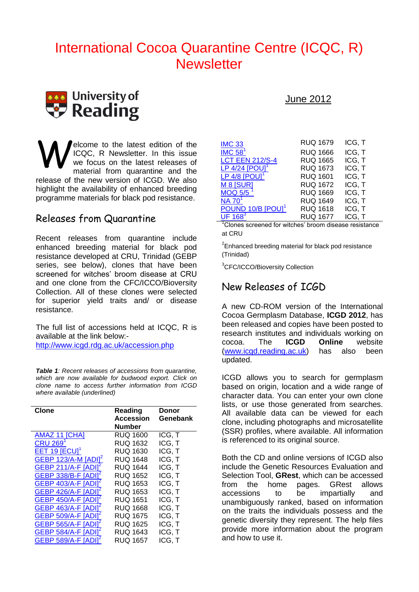# International Cocoa Quarantine Centre (ICQC, R) **Newsletter**



elcome to the latest edition of the ICQC, R Newsletter. In this issue we focus on the latest releases of material from quarantine and the release of the new version of ICGD. We also highlight the availability of enhanced breeding programme materials for black pod resistance. W

#### Releases from Quarantine

Recent releases from quarantine include enhanced breeding material for black pod resistance developed at CRU, Trinidad (GEBP series, see below), clones that have been screened for witches' broom disease at CRU and one clone from the CFC/ICCO/Bioversity Collection. All of these clones were selected for superior yield traits and/ or disease resistance.

The full list of accessions held at ICQC, R is available at the link below:-

<http://www.icgd.rdg.ac.uk/accession.php>

*Table 1: Recent releases of accessions from quarantine, which are now available for budwood export. Click on clone name to access further information from ICGD where available (underlined)*

| Clone                           | Reading<br><b>Accession</b><br>Number | Donor<br>Genebank |
|---------------------------------|---------------------------------------|-------------------|
| AMAZ 11 ICHAI                   | <b>RUQ 1600</b>                       | ICG, T            |
| <b>CRU 269</b>                  | <b>RUQ 1632</b>                       | ICG, T            |
| EET 19 [ECU]                    | <b>RUQ 1630</b>                       | ICG, T            |
| GEBP 123/A-M [ADI] <sup>2</sup> | <b>RUQ 1648</b>                       | ICG, T            |
| <b>GEBP 211/A-F [ADI]</b>       | <b>RUQ 1644</b>                       | ICG, T            |
| GEBP 338/B-F [ADI]              | <b>RUQ 1652</b>                       | ICG, T            |
| GEBP 403/A-F [ADI]              | <b>RUQ 1653</b>                       | ICG, T            |
| <b>GEBP 426/A-F [ADI]</b>       | RUQ 1653                              | ICG, T            |
| <b>GEBP 450/A-F [ADI]</b>       | <b>RUQ 1651</b>                       | ICG, T            |
| <b>GEBP 463/A-F [ADI]</b>       | <b>RUQ 1668</b>                       | ICG, T            |
| <b>GEBP 509/A-F [ADI]</b>       | <b>RUQ 1675</b>                       | ICG, T            |
| GEBP 565/A-F [ADI]              | <b>RUQ 1625</b>                       | ICG, T            |
| <b>GEBP 584/A-F [ADI]</b>       | RUQ 1643                              | ICG, T            |
| <b>GEBP 589/A-F IA</b>          | RUQ 1657                              | ICG. T            |

#### June 2012

| <b>IMC 33</b>                  | <b>RUQ 1679</b> | ICG, T |
|--------------------------------|-----------------|--------|
| $IMC$ 58 <sup>1</sup>          | <b>RUQ 1666</b> | ICG, T |
| <b>LCT EEN 212/S-4</b>         | <b>RUQ 1665</b> | ICG, T |
| LP $4/24$ [POU] <sup>1</sup>   | <b>RUQ 1673</b> | ICG, T |
| LP 4/8 $[POUI1]$               | <b>RUQ 1601</b> | ICG, T |
| M 8 [SUR]                      | <b>RUQ 1672</b> | ICG, T |
| <b>MOQ 5/5</b>                 | <b>RUQ 1669</b> | ICG, T |
| $NA$ 70 <sup>1</sup>           | <b>RUQ 1649</b> | ICG, T |
| POUND 10/B [POU] <sup>1</sup>  | <b>RUQ 1618</b> | ICG, T |
| $\overline{\text{UF }168}^{3}$ | <b>RUQ 1677</b> | ICG, T |

Clones screened for witches' broom disease resistance at CRU

 $2$ Enhanced breeding material for black pod resistance (Trinidad)

<sup>3</sup>CFC/ICCO/Bioversity Collection

#### New Releases of ICGD

A new CD-ROM version of the International Cocoa Germplasm Database, **ICGD 2012**, has been released and copies have been posted to research institutes and individuals working on cocoa. The **ICGD Online** website [\(www.icgd.reading.ac.uk\)](http://www.icgd.reading.ac.uk/) has also been updated.

ICGD allows you to search for germplasm based on origin, location and a wide range of character data. You can enter your own clone lists, or use those generated from searches. All available data can be viewed for each clone, including photographs and microsatellite (SSR) profiles, where available. All information is referenced to its original source.

Both the CD and online versions of ICGD also include the Genetic Resources Evaluation and Selection Tool, **GRest**, which can be accessed from the home pages. GRest allows accessions to be impartially and unambiguously ranked, based on information on the traits the individuals possess and the genetic diversity they represent. The help files provide more information about the program and how to use it.